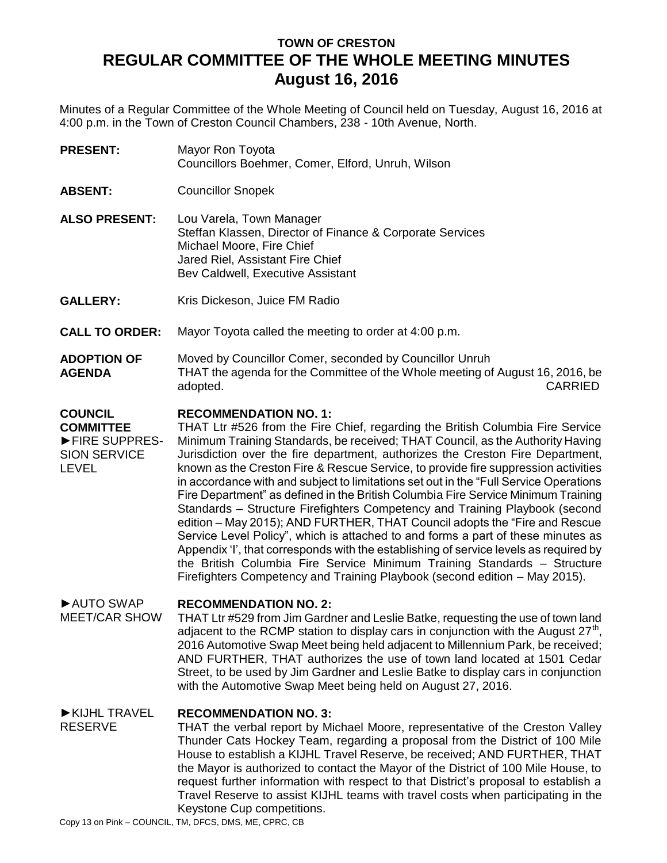# **TOWN OF CRESTON REGULAR COMMITTEE OF THE WHOLE MEETING MINUTES August 16, 2016**

Minutes of a Regular Committee of the Whole Meeting of Council held on Tuesday, August 16, 2016 at 4:00 p.m. in the Town of Creston Council Chambers, 238 - 10th Avenue, North.

**PRESENT:** Mayor Ron Toyota Councillors Boehmer, Comer, Elford, Unruh, Wilson

**ABSENT:** Councillor Snopek

**ALSO PRESENT:** Lou Varela, Town Manager Steffan Klassen, Director of Finance & Corporate Services Michael Moore, Fire Chief Jared Riel, Assistant Fire Chief Bev Caldwell, Executive Assistant

- **GALLERY:** Kris Dickeson, Juice FM Radio
- **CALL TO ORDER:** Mayor Toyota called the meeting to order at 4:00 p.m.
- **ADOPTION OF AGENDA** Moved by Councillor Comer, seconded by Councillor Unruh THAT the agenda for the Committee of the Whole meeting of August 16, 2016, be adopted. CARRIED

### **COUNCIL RECOMMENDATION NO. 1:**

**COMMITTEE** ►FIRE SUPPRES-SION SERVICE LEVEL THAT Ltr #526 from the Fire Chief, regarding the British Columbia Fire Service Minimum Training Standards, be received; THAT Council, as the Authority Having Jurisdiction over the fire department, authorizes the Creston Fire Department, known as the Creston Fire & Rescue Service, to provide fire suppression activities in accordance with and subject to limitations set out in the "Full Service Operations Fire Department" as defined in the British Columbia Fire Service Minimum Training Standards – Structure Firefighters Competency and Training Playbook (second edition – May 2015); AND FURTHER, THAT Council adopts the "Fire and Rescue Service Level Policy", which is attached to and forms a part of these minutes as Appendix 'I', that corresponds with the establishing of service levels as required by the British Columbia Fire Service Minimum Training Standards – Structure Firefighters Competency and Training Playbook (second edition – May 2015).

## ►AUTO SWAP **RECOMMENDATION NO. 2:**

MEET/CAR SHOW THAT Ltr #529 from Jim Gardner and Leslie Batke, requesting the use of town land adjacent to the RCMP station to display cars in conjunction with the August  $27<sup>th</sup>$ , 2016 Automotive Swap Meet being held adjacent to Millennium Park, be received; AND FURTHER, THAT authorizes the use of town land located at 1501 Cedar Street, to be used by Jim Gardner and Leslie Batke to display cars in conjunction with the Automotive Swap Meet being held on August 27, 2016.

# ►KIJHL TRAVEL RESERVE **RECOMMENDATION NO. 3:**

THAT the verbal report by Michael Moore, representative of the Creston Valley Thunder Cats Hockey Team, regarding a proposal from the District of 100 Mile House to establish a KIJHL Travel Reserve, be received; AND FURTHER, THAT the Mayor is authorized to contact the Mayor of the District of 100 Mile House, to request further information with respect to that District"s proposal to establish a Travel Reserve to assist KIJHL teams with travel costs when participating in the Keystone Cup competitions.